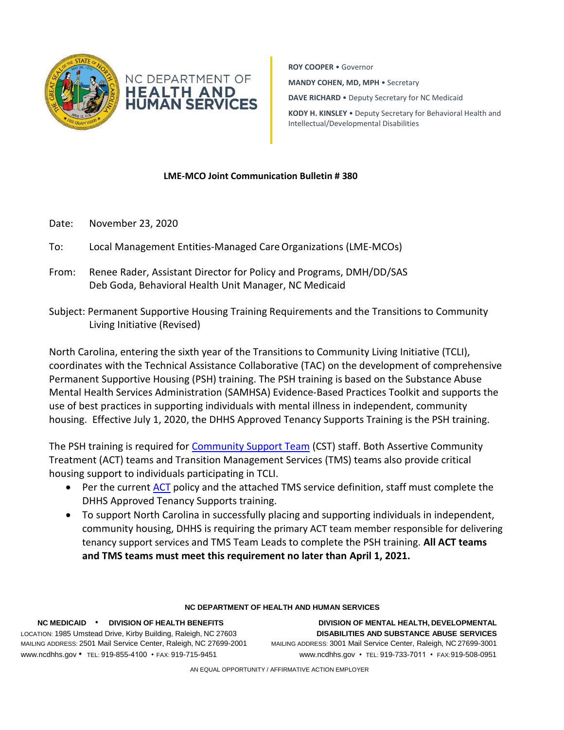

**ROY COOPER** • Governor **MANDY COHEN, MD, MPH** • Secretary **DAVE RICHARD** • Deputy Secretary for NC Medicaid **KODY H. KINSLEY** • Deputy Secretary for Behavioral Health and

Intellectual/Developmental Disabilities

## **LME-MCO Joint Communication Bulletin # 380**

- Date: November 23, 2020
- To: Local Management Entities-Managed CareOrganizations (LME-MCOs)
- From: Renee Rader, Assistant Director for Policy and Programs, DMH/DD/SAS Deb Goda, Behavioral Health Unit Manager, NC Medicaid
- Subject: Permanent Supportive Housing Training Requirements and the Transitions to Community Living Initiative (Revised)

North Carolina, entering the sixth year of the Transitions to Community Living Initiative (TCLI), coordinates with the Technical Assistance Collaborative (TAC) on the development of comprehensive Permanent Supportive Housing (PSH) training. The PSH training is based on the Substance Abuse Mental Health Services Administration (SAMHSA) Evidence-Based Practices Toolkit and supports the use of best practices in supporting individuals with mental illness in independent, community housing. Effective July 1, 2020, the DHHS Approved Tenancy Supports Training is the PSH training.

The PSH training is required for [Community Support Team](https://files.nc.gov/ncdhhs/documents/files/State-Funded-Community-Support-Team--CST--Final-for-Posting-10-1-20.pdf) (CST) staff. Both Assertive Community Treatment (ACT) teams and Transition Management Services (TMS) teams also provide critical housing support to individuals participating in TCLI.

- Per the current [ACT](https://files.nc.gov/ncdhhs/documents/files/State-Funded-ACT-Policy-12-15-19.pdf) policy and the attached TMS service definition, staff must complete the DHHS Approved Tenancy Supports training.
- To support North Carolina in successfully placing and supporting individuals in independent, community housing, DHHS is requiring the primary ACT team member responsible for delivering tenancy support services and TMS Team Leads to complete the PSH training. **All ACT teams and TMS teams must meet this requirement no later than April 1, 2021.**

## **NC DEPARTMENT OF HEALTH AND HUMAN SERVICES**

[www.ncdhhs.gov](http://www.ncdhhs.gov/) • TEL: 919-855-4100 • FAX: 919-715-9451 [www.ncdhhs.gov](http://www.ncdhhs.gov/) • TEL: 919-733-7011 • FAX:919-508-0951

**NC MEDICAID** • **DIVISION OF HEALTH BENEFITS DIVISION OF MENTAL HEALTH, DEVELOPMENTAL** LOCATION: 1985 Umstead Drive, Kirby Building, Raleigh, NC 27603 **DISABILITIES AND SUBSTANCE ABUSE SERVICES** MAILING ADDRESS: 2501 Mail Service Center, Raleigh, NC 27699-2001 MAILING ADDRESS: 3001 Mail Service Center, Raleigh, NC 27699-3001

AN EQUAL OPPORTUNITY / AFFIRMATIVE ACTION EMPLOYER